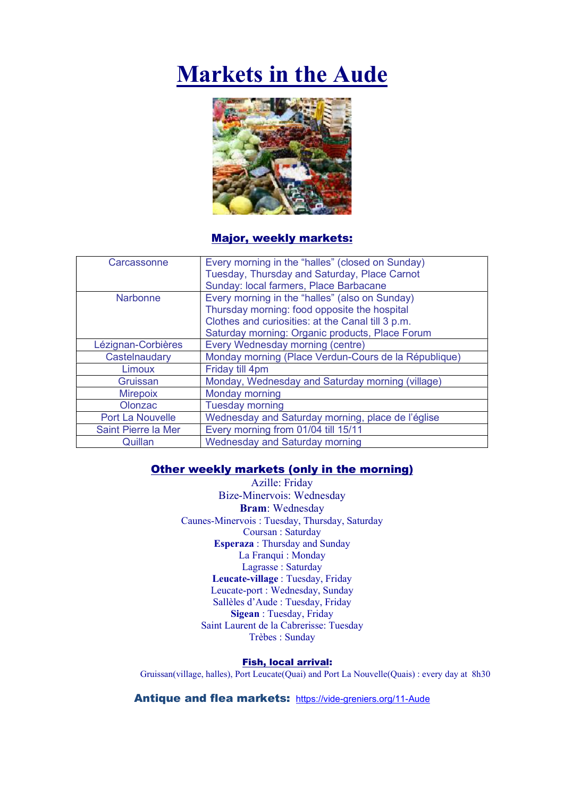# Markets in the Aude



Major, weekly markets:

| Carcassonne             | Every morning in the "halles" (closed on Sunday)     |
|-------------------------|------------------------------------------------------|
|                         | Tuesday, Thursday and Saturday, Place Carnot         |
|                         | Sunday: local farmers, Place Barbacane               |
| <b>Narbonne</b>         | Every morning in the "halles" (also on Sunday)       |
|                         | Thursday morning: food opposite the hospital         |
|                         | Clothes and curiosities: at the Canal till 3 p.m.    |
|                         | Saturday morning: Organic products, Place Forum      |
| Lézignan-Corbières      | Every Wednesday morning (centre)                     |
| Castelnaudary           | Monday morning (Place Verdun-Cours de la République) |
| Limoux                  | Friday till 4pm                                      |
| Gruissan                | Monday, Wednesday and Saturday morning (village)     |
| <b>Mirepoix</b>         | Monday morning                                       |
| Olonzac                 | <b>Tuesday morning</b>                               |
| <b>Port La Nouvelle</b> | Wednesday and Saturday morning, place de l'église    |
| Saint Pierre la Mer     | Every morning from 01/04 till 15/11                  |
| Quillan                 | <b>Wednesday and Saturday morning</b>                |

## Other weekly markets (only in the morning)

Azille: Friday Bize-Minervois: Wednesday Bram: Wednesday Caunes-Minervois : Tuesday, Thursday, Saturday Coursan : Saturday Esperaza : Thursday and Sunday La Franqui : Monday Lagrasse : Saturday Leucate-village : Tuesday, Friday Leucate-port : Wednesday, Sunday Sallèles d'Aude : Tuesday, Friday Sigean : Tuesday, Friday Saint Laurent de la Cabrerisse: Tuesday Trèbes : Sunday

## Fish, local arrival:

Gruissan(village, halles), Port Leucate(Quai) and Port La Nouvelle(Quais) : every day at 8h30

Antique and flea markets: https://vide-greniers.org/11-Aude